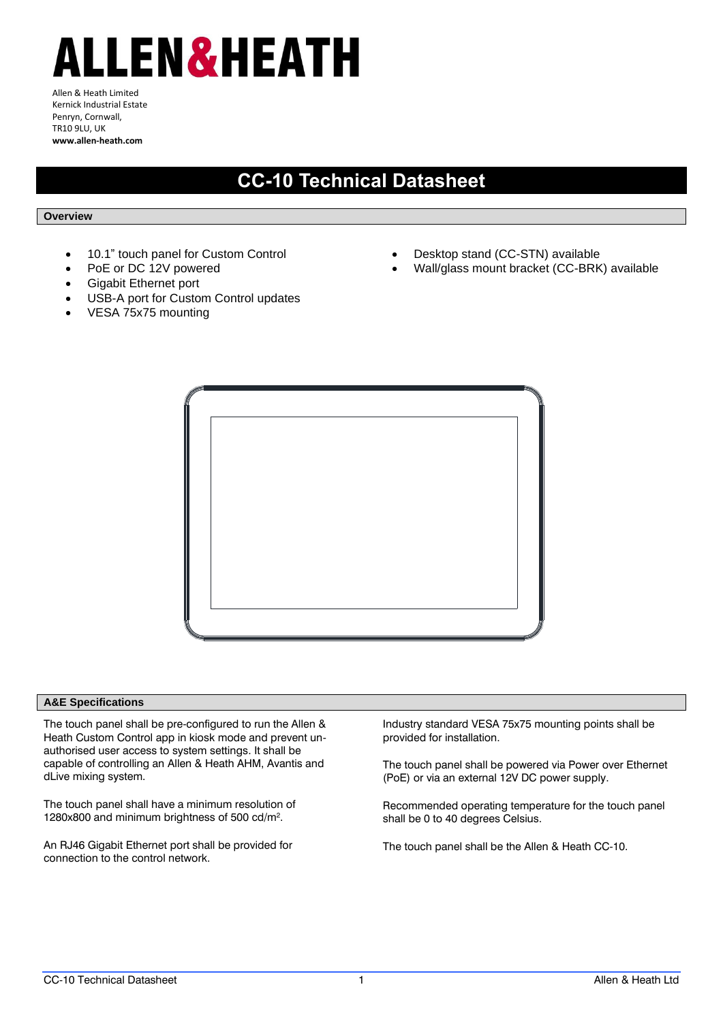# ALLEN&HEATH

Allen & Heath Limited Kernick Industrial Estate Penryn, Cornwall, TR10 9LU, UK **www.allen-heath.com**

## **CC-10 Technical Datasheet**

### **Overview**

- 10.1" touch panel for Custom Control
- PoE or DC 12V powered
- Gigabit Ethernet port
- USB-A port for Custom Control updates
- VESA 75x75 mounting
- Desktop stand (CC-STN) available
- Wall/glass mount bracket (CC-BRK) available



#### **A&E Specifications**

The touch panel shall be pre-configured to run the Allen & Heath Custom Control app in kiosk mode and prevent unauthorised user access to system settings. It shall be capable of controlling an Allen & Heath AHM, Avantis and dLive mixing system.

The touch panel shall have a minimum resolution of 1280x800 and minimum brightness of 500 cd/m<sup>2</sup> .

An RJ46 Gigabit Ethernet port shall be provided for connection to the control network.

Industry standard VESA 75x75 mounting points shall be provided for installation.

The touch panel shall be powered via Power over Ethernet (PoE) or via an external 12V DC power supply.

Recommended operating temperature for the touch panel shall be 0 to 40 degrees Celsius.

The touch panel shall be the Allen & Heath CC-10.